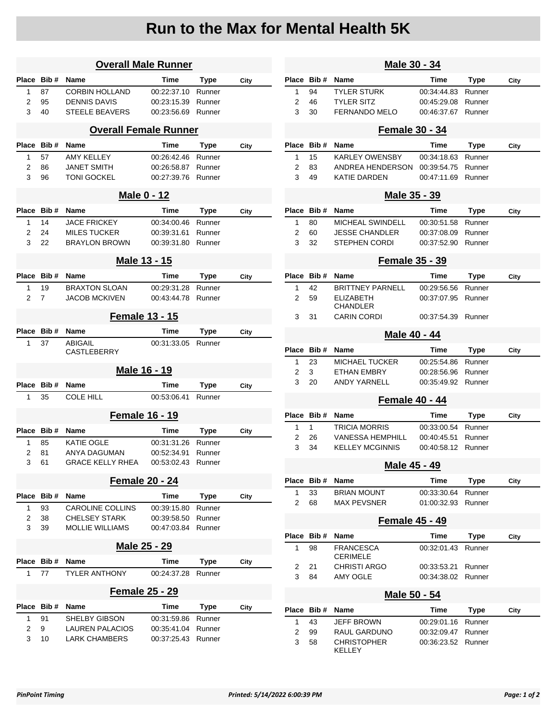## **Run to the Max for Mental Health 5K**

|                              | <b>Overall Male Runner</b> |                               |             |             |      |  |  |  |
|------------------------------|----------------------------|-------------------------------|-------------|-------------|------|--|--|--|
| Place                        | Bib#                       | Name                          | <b>Time</b> | Type        | City |  |  |  |
| 1                            | 87                         | <b>CORBIN HOLLAND</b>         | 00:22:37.10 | Runner      |      |  |  |  |
| 2                            | 95                         | <b>DENNIS DAVIS</b>           | 00:23:15.39 | Runner      |      |  |  |  |
| 3                            | 40                         | <b>STEELE BEAVERS</b>         | 00:23:56.69 | Runner      |      |  |  |  |
| <b>Overall Female Runner</b> |                            |                               |             |             |      |  |  |  |
| <b>Place</b>                 | Bib#                       | Name                          | Time        | Type        | City |  |  |  |
| 1                            | 57                         | <b>AMY KELLEY</b>             | 00:26:42.46 | Runner      |      |  |  |  |
| 2                            | 86                         | <b>JANET SMITH</b>            | 00:26:58.87 | Runner      |      |  |  |  |
| 3                            | 96                         | TONI GOCKEL                   | 00:27:39.76 | Runner      |      |  |  |  |
|                              |                            | <b>Male 0 - 12</b>            |             |             |      |  |  |  |
| <b>Place</b>                 | Bib#                       | Name                          | Time        | Type        | City |  |  |  |
| 1                            | 14                         | <b>JACE FRICKEY</b>           | 00:34:00.46 | Runner      |      |  |  |  |
| 2                            | 24                         | <b>MILES TUCKER</b>           | 00:39:31.61 | Runner      |      |  |  |  |
| 3                            | 22                         | <b>BRAYLON BROWN</b>          | 00:39:31.80 | Runner      |      |  |  |  |
| Male 13 - 15                 |                            |                               |             |             |      |  |  |  |
| Place                        | Bib#                       | Name                          | Time        | Type        | City |  |  |  |
| 1                            | 19                         | <b>BRAXTON SLOAN</b>          | 00:29:31.28 | Runner      |      |  |  |  |
| 2                            | 7                          | <b>JACOB MCKIVEN</b>          | 00:43:44.78 | Runner      |      |  |  |  |
|                              |                            | <b>Female 13 - 15</b>         |             |             |      |  |  |  |
| Place                        | Bib #                      | Name                          | Time        | <b>Type</b> | City |  |  |  |
| 1                            | 37                         | <b>ABIGAIL</b><br>CASTLEBERRY | 00:31:33.05 | Runner      |      |  |  |  |
|                              |                            | Male 16 - 19                  |             |             |      |  |  |  |
| Place                        | Bib#                       | Name                          | Time        | Type        | City |  |  |  |
| 1                            | 35                         | <b>COLE HILL</b>              | 00:53:06.41 | Runner      |      |  |  |  |
|                              |                            |                               |             |             |      |  |  |  |
|                              |                            | <b>Female 16 - 19</b>         |             |             |      |  |  |  |
| Place Bib#                   |                            | Name                          | Time        | Type        | City |  |  |  |
| 1                            | 85                         | KATIE OGLE                    | 00:31:31.26 | Runner      |      |  |  |  |
| 2                            | 81                         | ANYA DAGUMAN                  | 00:52:34.91 | Runner      |      |  |  |  |
| 3                            | 61                         | <b>GRACE KELLY RHEA</b>       | 00:53:02.43 | Runner      |      |  |  |  |
| <b>Female 20 - 24</b>        |                            |                               |             |             |      |  |  |  |
| Place Bib#                   |                            | Name                          | Time        | <b>Type</b> | City |  |  |  |
| 1                            | 93                         | <b>CAROLINE COLLINS</b>       | 00:39:15.80 | Runner      |      |  |  |  |
| 2                            | 38                         | <b>CHELSEY STARK</b>          | 00:39:58.50 | Runner      |      |  |  |  |
| 3                            | 39                         | <b>MOLLIE WILLIAMS</b>        | 00:47:03.84 | Runner      |      |  |  |  |
| Male 25 - 29                 |                            |                               |             |             |      |  |  |  |
| Place Bib#                   |                            | Name                          | Time        | <b>Type</b> | City |  |  |  |
| 1                            | 77                         | <b>TYLER ANTHONY</b>          | 00:24:37.28 | Runner      |      |  |  |  |
| <b>Female 25 - 29</b>        |                            |                               |             |             |      |  |  |  |
|                              | Bib#                       | Name                          | Time        | Type        | City |  |  |  |
| Place                        |                            |                               |             |             |      |  |  |  |
| 1                            | 91                         | SHELBY GIBSON                 | 00:31:59.86 | Runner      |      |  |  |  |
| 2                            | 9                          | LAUREN PALACIOS               | 00:35:41.04 | Runner      |      |  |  |  |

| Male 30 - 34          |       |                                     |             |                  |      |  |  |  |  |
|-----------------------|-------|-------------------------------------|-------------|------------------|------|--|--|--|--|
| Place                 | Bib#  | Name                                | <b>Time</b> | Type             | City |  |  |  |  |
| 1                     | 94    | TYLER STURK                         | 00:34:44.83 | Runner           |      |  |  |  |  |
| 2                     | 46    | <b>TYLER SITZ</b>                   | 00:45:29.08 | Runner           |      |  |  |  |  |
| 3                     | 30    | <b>FERNANDO MELO</b>                | 00:46:37.67 | Runner           |      |  |  |  |  |
| <b>Female 30 - 34</b> |       |                                     |             |                  |      |  |  |  |  |
| Place                 | Bib # | Name                                | Time        | Type             | City |  |  |  |  |
| 1                     | 15    | <b>KARLEY OWENSBY</b>               | 00:34:18.63 | Runner           |      |  |  |  |  |
| 2                     | 83    | ANDREA HENDERSON                    | 00:39:54.75 | Runner           |      |  |  |  |  |
| 3                     | 49    | KATIE DARDEN                        | 00:47:11.69 | Runner           |      |  |  |  |  |
| Male 35 - 39          |       |                                     |             |                  |      |  |  |  |  |
| Place                 | Bib # | Name                                | Time        | Type             | City |  |  |  |  |
| 1                     | 80    | MICHEAL SWINDELL                    | 00:30:51.58 | Runner           |      |  |  |  |  |
| 2                     | 60    | JESSE CHANDLER                      | 00:37:08.09 | Runner           |      |  |  |  |  |
| 3                     | 32    | STEPHEN CORDI                       | 00:37:52.90 | Runner           |      |  |  |  |  |
|                       |       |                                     |             |                  |      |  |  |  |  |
| <b>Female 35 - 39</b> |       |                                     |             |                  |      |  |  |  |  |
| Place                 | Bib#  | Name                                | Time        | Type             | City |  |  |  |  |
| 1                     | 42    | <b>BRITTNEY PARNELL</b>             | 00:29:56.56 | Runner           |      |  |  |  |  |
| 2                     | 59    | <b>ELIZABETH</b>                    | 00:37:07.95 | Runner           |      |  |  |  |  |
|                       |       | CHANDLER                            |             |                  |      |  |  |  |  |
| 3                     | 31    | CARIN CORDI                         | 00:37:54.39 | Runner           |      |  |  |  |  |
| Male 40 - 44          |       |                                     |             |                  |      |  |  |  |  |
| Place                 | Bib # | Name                                | Time        | Type             | City |  |  |  |  |
| 1                     | 23    | MICHAEL TUCKER                      | 00:25:54.86 | Runner           |      |  |  |  |  |
| 2                     | 3     | ETHAN EMBRY                         | 00:28:56.96 | Runner           |      |  |  |  |  |
| 3                     | 20    | ANDY YARNELL                        | 00:35:49.92 | Runner           |      |  |  |  |  |
| <b>Female 40 - 44</b> |       |                                     |             |                  |      |  |  |  |  |
| Place                 | Bib#  | Name                                | Time        | <b>Type</b>      | City |  |  |  |  |
| 1                     | 1     | <b>TRICIA MORRIS</b>                | 00:33:00.54 | Runner           |      |  |  |  |  |
| 2                     | 26    | VANESSA HEMPHILL                    | 00:40:45.51 | Runner           |      |  |  |  |  |
| 3                     | 34    | KELLEY MCGINNIS                     | 00:40:58.12 | Runner           |      |  |  |  |  |
|                       |       | Male 45 - 49                        |             |                  |      |  |  |  |  |
| Place                 | Bib#  | Name                                | <b>Time</b> | Type             | City |  |  |  |  |
| 1                     | 33    | <b>BRIAN MOUNT</b>                  | 00:33:30.64 |                  |      |  |  |  |  |
| 2                     | 68    | MAX PEVSNER                         | 01:00:32.93 | Runner<br>Runner |      |  |  |  |  |
|                       |       |                                     |             |                  |      |  |  |  |  |
| Female 45 - 49        |       |                                     |             |                  |      |  |  |  |  |
| Place                 | Bib#  | Name                                | Time        | <b>Type</b>      | City |  |  |  |  |
| 1                     | 98    | <b>FRANCESCA</b><br><b>CERIMELE</b> | 00:32:01.43 | Runner           |      |  |  |  |  |
| 2                     | 21    | <b>CHRISTI ARGO</b>                 | 00:33:53.21 | Runner           |      |  |  |  |  |
| 3                     | 84    | <b>AMY OGLE</b>                     | 00:34:38.02 | Runner           |      |  |  |  |  |
|                       |       |                                     |             |                  |      |  |  |  |  |
| Male 50 - 54          |       |                                     |             |                  |      |  |  |  |  |
| Place                 | Bib#  | Name                                | Time        | Type             | City |  |  |  |  |
| 1                     | 43    | JEFF BROWN                          | 00:29:01.16 | Runner           |      |  |  |  |  |
| 2                     | 99    | RAUL GARDUNO                        | 00:32:09.47 | Runner           |      |  |  |  |  |
| 3                     | 58    | CHRISTOPHER<br>KELLEY               | 00:36:23.52 | Runner           |      |  |  |  |  |
|                       |       |                                     |             |                  |      |  |  |  |  |
|                       |       |                                     |             |                  |      |  |  |  |  |